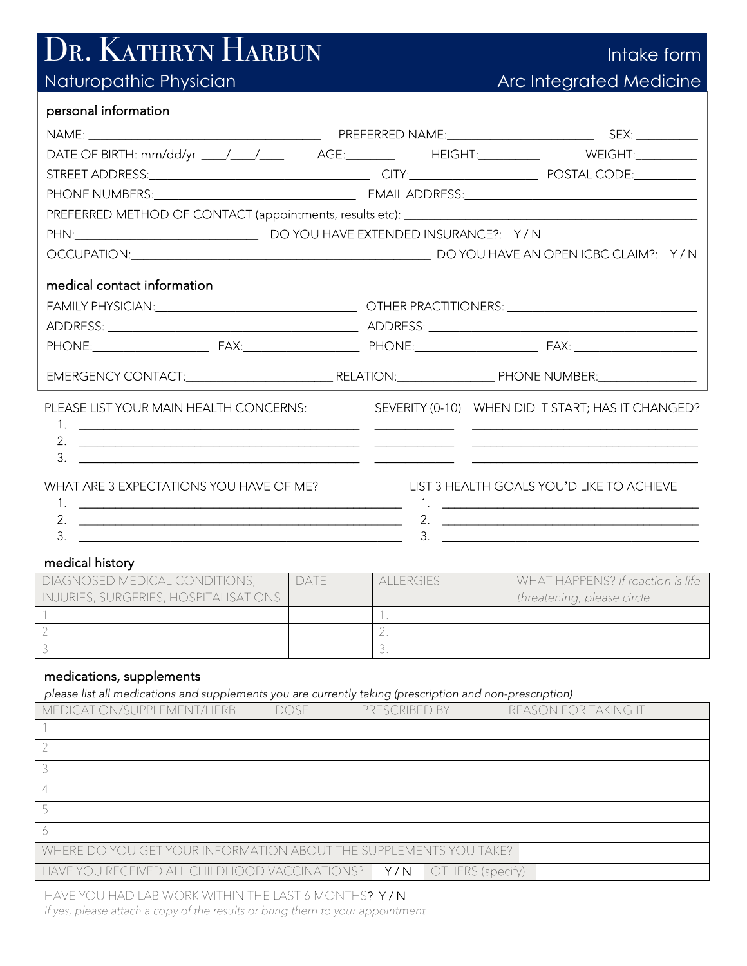# DR. KATHRYN HARBUN

## Naturopathic Physician

| llntake form'           |
|-------------------------|
| Arc Integrated Medicine |

#### personal information

| DATE OF BIRTH: mm/dd/yr ____/____/_____ AGE:________ HEIGHT:_________ WEIGHT:_________ |                                                    |
|----------------------------------------------------------------------------------------|----------------------------------------------------|
|                                                                                        |                                                    |
|                                                                                        |                                                    |
|                                                                                        |                                                    |
|                                                                                        |                                                    |
|                                                                                        |                                                    |
| medical contact information                                                            |                                                    |
|                                                                                        |                                                    |
|                                                                                        |                                                    |
|                                                                                        |                                                    |
|                                                                                        |                                                    |
| PLEASE LIST YOUR MAIN HEALTH CONCERNS:                                                 | SEVERITY (0-10) WHEN DID IT START; HAS IT CHANGED? |
| 3.                                                                                     |                                                    |
| WHAT ARE 3 EXPECTATIONS YOU HAVE OF ME?                                                | LIST 3 HEALTH GOALS YOU'D LIKE TO ACHIEVE          |
|                                                                                        |                                                    |
| 3.                                                                                     | 2. $\qquad \qquad$<br>3.                           |
|                                                                                        |                                                    |

#### medical history

| DIAGNOSED MEDICAL CONDITIONS,         | DATE/ | <b>ALLERGIES</b> | WHAT HAPPENS? If reaction is life |
|---------------------------------------|-------|------------------|-----------------------------------|
| INJURIES, SURGERIES, HOSPITALISATIONS |       |                  | threatening, please circle        |
|                                       |       |                  |                                   |
|                                       |       |                  |                                   |
|                                       |       |                  |                                   |

#### medications, supplements

*please list all medications and supplements you are currently taking (prescription and non-prescription)*

| $\cdots$                                                          |             | ັ້                       |                      |  |  |  |  |
|-------------------------------------------------------------------|-------------|--------------------------|----------------------|--|--|--|--|
| MEDICATION/SUPPLEMENT/HERB                                        | <b>DOSE</b> | PRESCRIBED BY            | REASON FOR TAKING IT |  |  |  |  |
|                                                                   |             |                          |                      |  |  |  |  |
|                                                                   |             |                          |                      |  |  |  |  |
|                                                                   |             |                          |                      |  |  |  |  |
| 4                                                                 |             |                          |                      |  |  |  |  |
|                                                                   |             |                          |                      |  |  |  |  |
| Ő                                                                 |             |                          |                      |  |  |  |  |
| WHERE DO YOU GET YOUR INFORMATION ABOUT THE SUPPLEMENTS YOU TAKE? |             |                          |                      |  |  |  |  |
| HAVE YOU RECEIVED ALL CHILDHOOD VACCINATIONS?                     |             | Y/N<br>OTHERS (specify): |                      |  |  |  |  |

HAVE YOU HAD LAB WORK WITHIN THE LAST 6 MONTHS? Y / N *If yes, please attach a copy of the results or bring them to your appointment*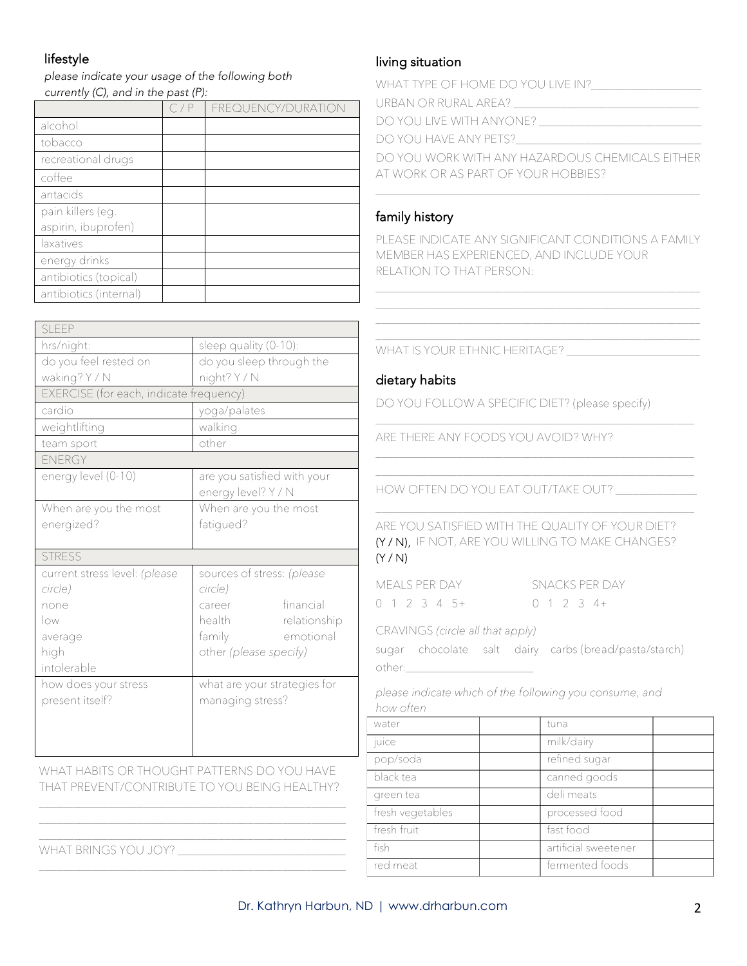### lifestyle

*please indicate your usage of the following both currently (C), and in the past (P):*

|                        | C/P | FREQUENCY/DURATION |
|------------------------|-----|--------------------|
| alcohol                |     |                    |
| tobacco                |     |                    |
| recreational drugs     |     |                    |
| coffee                 |     |                    |
| antacids               |     |                    |
| pain killers (eg.      |     |                    |
| aspirin, ibuprofen)    |     |                    |
| laxatives              |     |                    |
| energy drinks          |     |                    |
| antibiotics (topical)  |     |                    |
| antibiotics (internal) |     |                    |

| SLEEP                                   |                              |
|-----------------------------------------|------------------------------|
| hrs/night:                              | sleep quality (0-10):        |
| do you feel rested on                   | do you sleep through the     |
| waking? Y / N                           | night? Y / N                 |
| EXERCISE (for each, indicate frequency) |                              |
| cardio                                  | yoga/palates                 |
| weightlifting                           | walking                      |
| team sport                              | other                        |
| ENERGY                                  |                              |
| energy level (0-10)                     | are you satisfied with your  |
|                                         | energy level? Y / N          |
| When are you the most                   | When are you the most        |
| energized?                              | fatiqued?                    |
|                                         |                              |
|                                         |                              |
| <b>STRESS</b>                           |                              |
| current stress level: (please           | sources of stress: (please   |
| circle)                                 | circle)                      |
| none                                    | financial<br>career          |
| low                                     | health<br>relationship       |
| average                                 | family<br>emotional          |
| high                                    | other (please specify)       |
| intolerable                             |                              |
| how does your stress                    | what are your strategies for |
| present itself?                         | managing stress?             |
|                                         |                              |
|                                         |                              |

WHAT HABITS OR THOUGHT PATTERNS DO YOU HAVE THAT PREVENT/CONTRIBUTE TO YOU BEING HEALTHY?

\_\_\_\_\_\_\_\_\_\_\_\_\_\_\_\_\_\_\_\_\_\_\_\_\_\_\_\_\_\_\_\_\_\_\_\_\_\_\_\_\_\_\_\_\_\_\_\_\_\_\_\_\_

#### living situation

| WHAT TYPE OF HOME DO YOU LIVE IN?               |
|-------------------------------------------------|
| URBAN OR RURAL AREA?                            |
| DO YOU LIVE WITH ANYONE?                        |
| DO YOU HAVE ANY PETS?                           |
| DO YOU WORK WITH ANY HAZARDOUS CHEMICALS FITHER |
| AT WORK OR AS PART OF YOUR HOBBIES?             |
|                                                 |

#### family history

PLEASE INDICATE ANY SIGNIFICANT CONDITIONS A FAMILY MEMBER HAS EXPERIENCED, AND INCLUDE YOUR RELATION TO THAT PERSON:

\_\_\_\_\_\_\_\_\_\_\_\_\_\_\_\_\_\_\_\_\_\_\_\_\_\_\_\_\_\_\_\_\_\_\_\_\_\_\_\_\_\_\_\_\_\_\_\_\_\_\_\_\_\_\_\_

WHAT IS YOUR ETHNIC HERITAGE? \_\_\_\_\_\_\_\_\_\_\_\_\_\_\_\_\_\_\_\_\_\_\_

#### dietary habits

DO YOU FOLLOW A SPECIFIC DIET? (please specify)

ARE THERE ANY FOODS YOU AVOID? WHY?

HOW OFTEN DO YOU EAT OUT/TAKE OUT? \_\_\_\_\_\_\_\_\_\_\_\_\_\_

ARE YOU SATISFIED WITH THE QUALITY OF YOUR DIET? (Y / N), IF NOT, ARE YOU WILLING TO MAKE CHANGES? (Y / N)

\_\_\_\_\_\_\_\_\_\_\_\_\_\_\_\_\_\_\_\_\_\_\_\_\_\_\_\_\_\_\_\_\_\_\_\_\_\_\_\_\_\_\_\_\_\_\_\_\_\_\_\_\_\_\_

\_\_\_\_\_\_\_\_\_\_\_\_\_\_\_\_\_\_\_\_\_\_\_\_\_\_\_\_\_\_\_\_\_\_\_\_\_\_\_\_\_\_\_\_\_\_\_\_\_\_\_\_\_\_\_

|  | MEALS PER DAY |               |  |
|--|---------------|---------------|--|
|  |               | 0 1 2 3 4 5 + |  |

SNACKS PER DAY  $0$  1 2 3 4+

|          | CRAVINGS (circle all that apply) |  |                                                      |
|----------|----------------------------------|--|------------------------------------------------------|
|          |                                  |  | sugar chocolate salt dairy carbs(bread/pasta/starch) |
| other: - |                                  |  |                                                      |

*please indicate which of the following you consume, and how often* 

| water            | tuna                 |  |
|------------------|----------------------|--|
| juice            | milk/dairy           |  |
| pop/soda         | refined sugar        |  |
| black tea        | canned goods         |  |
| green tea        | deli meats           |  |
| fresh vegetables | processed food       |  |
| fresh fruit      | fast food            |  |
| fish             | artificial sweetener |  |
| red meat         | fermented foods      |  |

WHAT BRINGS YOU JOY? \_\_\_\_\_\_\_\_\_\_\_\_\_\_\_\_\_\_\_\_\_\_\_\_\_\_\_\_\_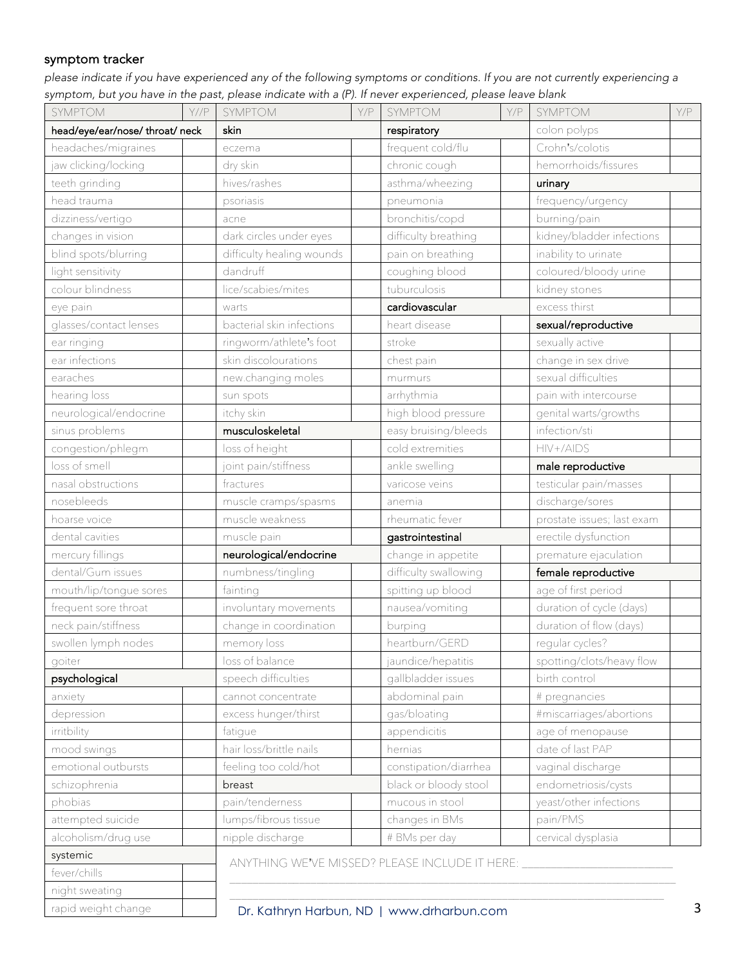#### symptom tracker

*please indicate if you have experienced any of the following symptoms or conditions. If you are not currently experiencing a symptom, but you have in the past, please indicate with a (P). If never experienced, please leave blank*

| SYMPTOM                       | $Y$ //P | SYMPTOM                                        | Y/P | SYMPTOM                                   | Y/P | <b>SYMPTOM</b>             | Y/P |
|-------------------------------|---------|------------------------------------------------|-----|-------------------------------------------|-----|----------------------------|-----|
| head/eye/ear/nose/throat/neck |         | skin                                           |     | respiratory                               |     | colon polyps               |     |
| headaches/migraines           |         | eczema                                         |     | frequent cold/flu                         |     | Crohn's/colotis            |     |
| jaw clicking/locking          |         | dry skin                                       |     | chronic cough                             |     | hemorrhoids/fissures       |     |
| teeth grinding                |         | hives/rashes                                   |     | asthma/wheezing                           |     | urinary                    |     |
| head trauma                   |         | psoriasis                                      |     | pneumonia                                 |     | frequency/urgency          |     |
| dizziness/vertigo             |         | acne                                           |     | bronchitis/copd                           |     | burning/pain               |     |
| changes in vision             |         | dark circles under eyes                        |     | difficulty breathing                      |     | kidney/bladder infections  |     |
| blind spots/blurring          |         | difficulty healing wounds                      |     | pain on breathing                         |     | inability to urinate       |     |
| light sensitivity             |         | dandruff                                       |     | coughing blood                            |     | coloured/bloody urine      |     |
| colour blindness              |         | lice/scabies/mites                             |     | tuburculosis                              |     | kidney stones              |     |
| eye pain                      |         | warts                                          |     | cardiovascular                            |     | excess thirst              |     |
| glasses/contact lenses        |         | bacterial skin infections                      |     | heart disease                             |     | sexual/reproductive        |     |
| ear ringing                   |         | ringworm/athlete's foot                        |     | stroke                                    |     | sexually active            |     |
| ear infections                |         | skin discolourations                           |     | chest pain                                |     | change in sex drive        |     |
| earaches                      |         | new.changing moles                             |     | murmurs                                   |     | sexual difficulties        |     |
| hearing loss                  |         | sun spots                                      |     | arrhythmia                                |     | pain with intercourse      |     |
| neurological/endocrine        |         | itchy skin                                     |     | high blood pressure                       |     | genital warts/growths      |     |
| sinus problems                |         | musculoskeletal                                |     | easy bruising/bleeds                      |     | infection/sti              |     |
| congestion/phlegm             |         | loss of height                                 |     | cold extremities                          |     | HIV+/AIDS                  |     |
| loss of smell                 |         | joint pain/stiffness                           |     | ankle swelling                            |     | male reproductive          |     |
| nasal obstructions            |         | fractures                                      |     | varicose veins                            |     | testicular pain/masses     |     |
| nosebleeds                    |         | muscle cramps/spasms                           |     | anemia                                    |     | discharge/sores            |     |
| hoarse voice                  |         | muscle weakness                                |     | rheumatic fever                           |     | prostate issues; last exam |     |
| dental cavities               |         | muscle pain                                    |     | gastrointestinal                          |     | erectile dysfunction       |     |
| mercury fillings              |         | neurological/endocrine                         |     | change in appetite                        |     | premature ejaculation      |     |
| dental/Gum issues             |         | numbness/tingling                              |     | difficulty swallowing                     |     | female reproductive        |     |
| mouth/lip/tongue sores        |         | fainting                                       |     | spitting up blood                         |     | age of first period        |     |
| frequent sore throat          |         | involuntary movements                          |     | nausea/vomiting                           |     | duration of cycle (days)   |     |
| neck pain/stiffness           |         | change in coordination                         |     | burping                                   |     | duration of flow (days)    |     |
| swollen lymph nodes           |         | memory loss                                    |     | heartburn/GERD                            |     | regular cycles?            |     |
| goiter                        |         | loss of balance                                |     | jaundice/hepatitis                        |     | spotting/clots/heavy flow  |     |
| psychological                 |         | speech difficulties                            |     | gallbladder issues                        |     | birth control              |     |
| anxiety                       |         | cannot concentrate                             |     | abdominal pain                            |     | # pregnancies              |     |
| depression                    |         | excess hunger/thirst                           |     | gas/bloating                              |     | #miscarriages/abortions    |     |
| irritbility                   |         | fatique                                        |     | appendicitis                              |     | age of menopause           |     |
| mood swings                   |         | hair loss/brittle nails                        |     | hernias                                   |     | date of last PAP           |     |
| emotional outbursts           |         | feeling too cold/hot                           |     | constipation/diarrhea                     |     | vaginal discharge          |     |
| schizophrenia                 |         | breast                                         |     | black or bloody stool                     |     | endometriosis/cysts        |     |
| phobias                       |         | pain/tenderness                                |     | mucous in stool                           |     | yeast/other infections     |     |
| attempted suicide             |         | lumps/fibrous tissue                           |     | changes in BMs                            |     | pain/PMS                   |     |
| alcoholism/drug use           |         | nipple discharge                               |     | # BMs per day                             |     | cervical dysplasia         |     |
| systemic                      |         | ANYTHING WE'VE MISSED? PLEASE INCLUDE IT HERE: |     |                                           |     |                            |     |
| fever/chills                  |         |                                                |     |                                           |     |                            |     |
| night sweating                |         |                                                |     |                                           |     |                            |     |
| rapid weight change           |         |                                                |     | Dr. Kathryn Harbun, ND   www.drharbun.com |     |                            | 3   |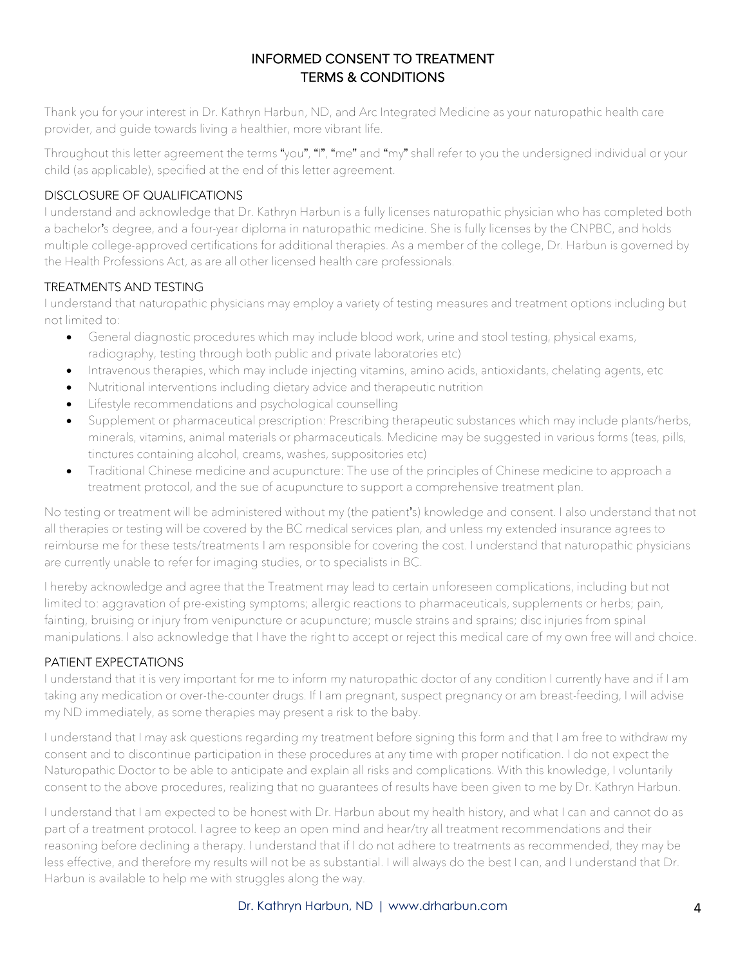#### INFORMED CONSENT TO TREATMENT TERMS & CONDITIONS

Thank you for your interest in Dr. Kathryn Harbun, ND, and Arc Integrated Medicine as your naturopathic health care provider, and guide towards living a healthier, more vibrant life.

Throughout this letter agreement the terms "you", "I", "me" and "my" shall refer to you the undersigned individual or your child (as applicable), specified at the end of this letter agreement.

#### DISCLOSURE OF QUALIFICATIONS

I understand and acknowledge that Dr. Kathryn Harbun is a fully licenses naturopathic physician who has completed both a bachelor's degree, and a four-year diploma in naturopathic medicine. She is fully licenses by the CNPBC, and holds multiple college-approved certifications for additional therapies. As a member of the college, Dr. Harbun is governed by the Health Professions Act, as are all other licensed health care professionals.

#### TREATMENTS AND TESTING

I understand that naturopathic physicians may employ a variety of testing measures and treatment options including but not limited to:

- General diagnostic procedures which may include blood work, urine and stool testing, physical exams, radiography, testing through both public and private laboratories etc)
- Intravenous therapies, which may include injecting vitamins, amino acids, antioxidants, chelating agents, etc
- Nutritional interventions including dietary advice and therapeutic nutrition
- Lifestyle recommendations and psychological counselling
- Supplement or pharmaceutical prescription: Prescribing therapeutic substances which may include plants/herbs, minerals, vitamins, animal materials or pharmaceuticals. Medicine may be suggested in various forms (teas, pills, tinctures containing alcohol, creams, washes, suppositories etc)
- Traditional Chinese medicine and acupuncture: The use of the principles of Chinese medicine to approach a treatment protocol, and the sue of acupuncture to support a comprehensive treatment plan.

No testing or treatment will be administered without my (the patient's) knowledge and consent. I also understand that not all therapies or testing will be covered by the BC medical services plan, and unless my extended insurance agrees to reimburse me for these tests/treatments I am responsible for covering the cost. I understand that naturopathic physicians are currently unable to refer for imaging studies, or to specialists in BC.

I hereby acknowledge and agree that the Treatment may lead to certain unforeseen complications, including but not limited to: aggravation of pre-existing symptoms; allergic reactions to pharmaceuticals, supplements or herbs; pain, fainting, bruising or injury from venipuncture or acupuncture; muscle strains and sprains; disc injuries from spinal manipulations. I also acknowledge that I have the right to accept or reject this medical care of my own free will and choice.

#### PATIENT EXPECTATIONS

I understand that it is very important for me to inform my naturopathic doctor of any condition I currently have and if I am taking any medication or over-the-counter drugs. If I am pregnant, suspect pregnancy or am breast-feeding, I will advise my ND immediately, as some therapies may present a risk to the baby.

I understand that I may ask questions regarding my treatment before signing this form and that I am free to withdraw my consent and to discontinue participation in these procedures at any time with proper notification. I do not expect the Naturopathic Doctor to be able to anticipate and explain all risks and complications. With this knowledge, I voluntarily consent to the above procedures, realizing that no guarantees of results have been given to me by Dr. Kathryn Harbun.

I understand that I am expected to be honest with Dr. Harbun about my health history, and what I can and cannot do as part of a treatment protocol. I agree to keep an open mind and hear/try all treatment recommendations and their reasoning before declining a therapy. I understand that if I do not adhere to treatments as recommended, they may be less effective, and therefore my results will not be as substantial. I will always do the best I can, and I understand that Dr. Harbun is available to help me with struggles along the way.

#### Dr. Kathryn Harbun, ND | www.drharbun.com